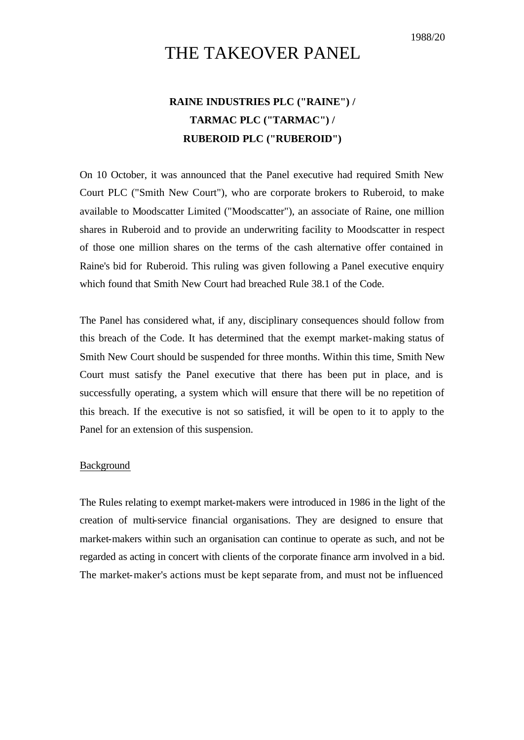# THE TAKEOVER PANEL

## **RAINE INDUSTRIES PLC ("RAINE") / TARMAC PLC ("TARMAC") / RUBEROID PLC ("RUBEROID")**

On 10 October, it was announced that the Panel executive had required Smith New Court PLC ("Smith New Court"), who are corporate brokers to Ruberoid, to make available to Moodscatter Limited ("Moodscatter"), an associate of Raine, one million shares in Ruberoid and to provide an underwriting facility to Moodscatter in respect of those one million shares on the terms of the cash alternative offer contained in Raine's bid for Ruberoid. This ruling was given following a Panel executive enquiry which found that Smith New Court had breached Rule 38.1 of the Code.

The Panel has considered what, if any, disciplinary consequences should follow from this breach of the Code. It has determined that the exempt market-making status of Smith New Court should be suspended for three months. Within this time, Smith New Court must satisfy the Panel executive that there has been put in place, and is successfully operating, a system which will ensure that there will be no repetition of this breach. If the executive is not so satisfied, it will be open to it to apply to the Panel for an extension of this suspension.

### Background

The Rules relating to exempt market-makers were introduced in 1986 in the light of the creation of multi-service financial organisations. They are designed to ensure that market-makers within such an organisation can continue to operate as such, and not be regarded as acting in concert with clients of the corporate finance arm involved in a bid. The market-maker's actions must be kept separate from, and must not be influenced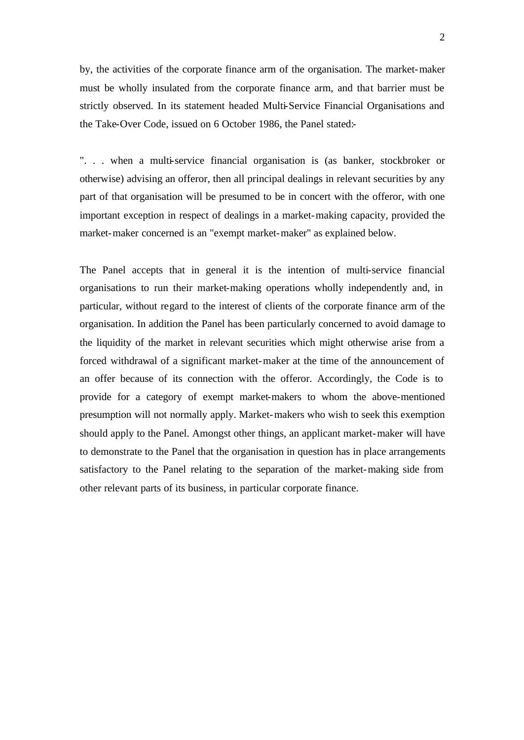by, the activities of the corporate finance arm of the organisation. The market-maker must be wholly insulated from the corporate finance arm, and that barrier must be strictly observed. In its statement headed Multi-Service Financial Organisations and the Take-Over Code, issued on 6 October 1986, the Panel stated:-

". . . when a multi-service financial organisation is (as banker, stockbroker or otherwise) advising an offeror, then all principal dealings in relevant securities by any part of that organisation will be presumed to be in concert with the offeror, with one important exception in respect of dealings in a market-making capacity, provided the market-maker concerned is an "exempt market-maker" as explained below.

The Panel accepts that in general it is the intention of multi-service financial organisations to run their market-making operations wholly independently and, in particular, without regard to the interest of clients of the corporate finance arm of the organisation. In addition the Panel has been particularly concerned to avoid damage to the liquidity of the market in relevant securities which might otherwise arise from a forced withdrawal of a significant market-maker at the time of the announcement of an offer because of its connection with the offeror. Accordingly, the Code is to provide for a category of exempt market-makers to whom the above-mentioned presumption will not normally apply. Market-makers who wish to seek this exemption should apply to the Panel. Amongst other things, an applicant market-maker will have to demonstrate to the Panel that the organisation in question has in place arrangements satisfactory to the Panel relating to the separation of the market-making side from other relevant parts of its business, in particular corporate finance.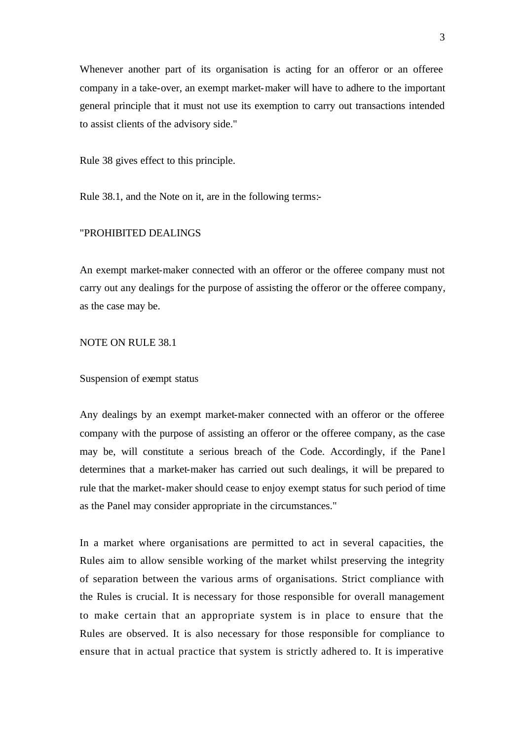Whenever another part of its organisation is acting for an offeror or an offeree company in a take-over, an exempt market-maker will have to adhere to the important general principle that it must not use its exemption to carry out transactions intended to assist clients of the advisory side."

Rule 38 gives effect to this principle.

Rule 38.1, and the Note on it, are in the following terms:-

### "PROHIBITED DEALINGS

An exempt market-maker connected with an offeror or the offeree company must not carry out any dealings for the purpose of assisting the offeror or the offeree company, as the case may be.

#### NOTE ON RULE 38.1

#### Suspension of exempt status

Any dealings by an exempt market-maker connected with an offeror or the offeree company with the purpose of assisting an offeror or the offeree company, as the case may be, will constitute a serious breach of the Code. Accordingly, if the Panel determines that a market-maker has carried out such dealings, it will be prepared to rule that the market-maker should cease to enjoy exempt status for such period of time as the Panel may consider appropriate in the circumstances."

In a market where organisations are permitted to act in several capacities, the Rules aim to allow sensible working of the market whilst preserving the integrity of separation between the various arms of organisations. Strict compliance with the Rules is crucial. It is necessary for those responsible for overall management to make certain that an appropriate system is in place to ensure that the Rules are observed. It is also necessary for those responsible for compliance to ensure that in actual practice that system is strictly adhered to. It is imperative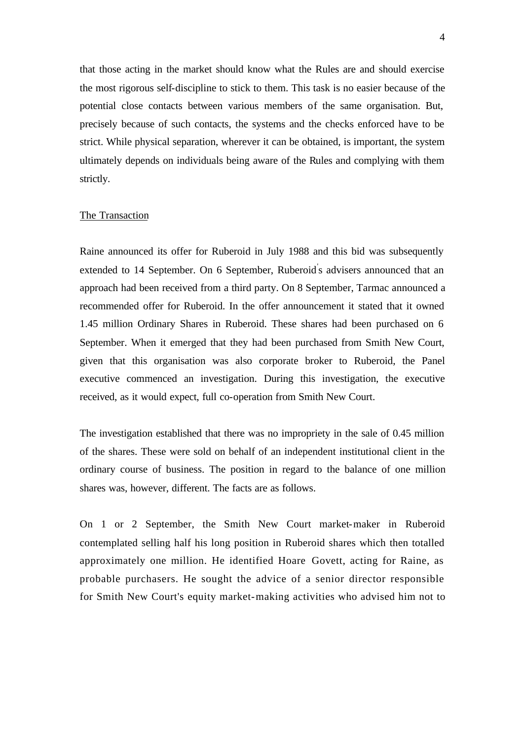that those acting in the market should know what the Rules are and should exercise the most rigorous self-discipline to stick to them. This task is no easier because of the potential close contacts between various members of the same organisation. But, precisely because of such contacts, the systems and the checks enforced have to be strict. While physical separation, wherever it can be obtained, is important, the system ultimately depends on individuals being aware of the Rules and complying with them strictly.

#### The Transaction

Raine announced its offer for Ruberoid in July 1988 and this bid was subsequently extended to 14 September. On 6 September, Ruberoid' s advisers announced that an approach had been received from a third party. On 8 September, Tarmac announced a recommended offer for Ruberoid. In the offer announcement it stated that it owned 1.45 million Ordinary Shares in Ruberoid. These shares had been purchased on 6 September. When it emerged that they had been purchased from Smith New Court, given that this organisation was also corporate broker to Ruberoid, the Panel executive commenced an investigation. During this investigation, the executive received, as it would expect, full co-operation from Smith New Court.

The investigation established that there was no impropriety in the sale of 0.45 million of the shares. These were sold on behalf of an independent institutional client in the ordinary course of business. The position in regard to the balance of one million shares was, however, different. The facts are as follows.

On 1 or 2 September, the Smith New Court market-maker in Ruberoid contemplated selling half his long position in Ruberoid shares which then totalled approximately one million. He identified Hoare Govett, acting for Raine, as probable purchasers. He sought the advice of a senior director responsible for Smith New Court's equity market-making activities who advised him not to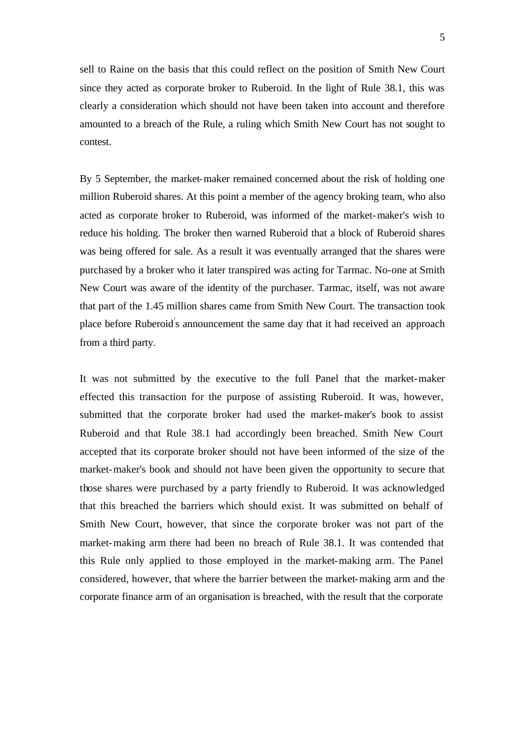5

sell to Raine on the basis that this could reflect on the position of Smith New Court since they acted as corporate broker to Ruberoid. In the light of Rule 38.1, this was clearly a consideration which should not have been taken into account and therefore amounted to a breach of the Rule, a ruling which Smith New Court has not sought to contest.

By 5 September, the market-maker remained concerned about the risk of holding one million Ruberoid shares. At this point a member of the agency broking team, who also acted as corporate broker to Ruberoid, was informed of the market-maker's wish to reduce his holding. The broker then warned Ruberoid that a block of Ruberoid shares was being offered for sale. As a result it was eventually arranged that the shares were purchased by a broker who it later transpired was acting for Tarmac. No-one at Smith New Court was aware of the identity of the purchaser. Tarmac, itself, was not aware that part of the 1.45 million shares came from Smith New Court. The transaction took place before Ruberoid' s announcement the same day that it had received an approach from a third party.

It was not submitted by the executive to the full Panel that the market-maker effected this transaction for the purpose of assisting Ruberoid. It was, however, submitted that the corporate broker had used the market-maker's book to assist Ruberoid and that Rule 38.1 had accordingly been breached. Smith New Court accepted that its corporate broker should not have been informed of the size of the market-maker's book and should not have been given the opportunity to secure that those shares were purchased by a party friendly to Ruberoid. It was acknowledged that this breached the barriers which should exist. It was submitted on behalf of Smith New Court, however, that since the corporate broker was not part of the market-making arm there had been no breach of Rule 38.1. It was contended that this Rule only applied to those employed in the market-making arm. The Panel considered, however, that where the barrier between the market-making arm and the corporate finance arm of an organisation is breached, with the result that the corporate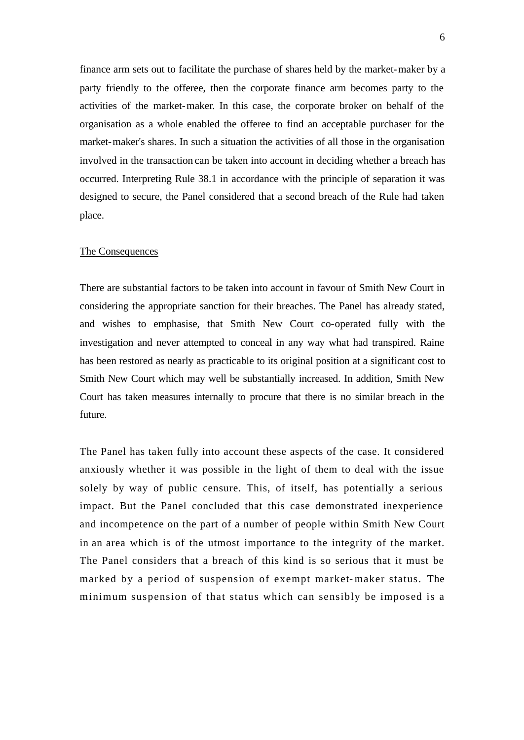finance arm sets out to facilitate the purchase of shares held by the market-maker by a party friendly to the offeree, then the corporate finance arm becomes party to the activities of the market-maker. In this case, the corporate broker on behalf of the organisation as a whole enabled the offeree to find an acceptable purchaser for the market-maker's shares. In such a situation the activities of all those in the organisation involved in the transaction can be taken into account in deciding whether a breach has occurred. Interpreting Rule 38.1 in accordance with the principle of separation it was designed to secure, the Panel considered that a second breach of the Rule had taken place.

#### The Consequences

There are substantial factors to be taken into account in favour of Smith New Court in considering the appropriate sanction for their breaches. The Panel has already stated, and wishes to emphasise, that Smith New Court co-operated fully with the investigation and never attempted to conceal in any way what had transpired. Raine has been restored as nearly as practicable to its original position at a significant cost to Smith New Court which may well be substantially increased. In addition, Smith New Court has taken measures internally to procure that there is no similar breach in the future.

The Panel has taken fully into account these aspects of the case. It considered anxiously whether it was possible in the light of them to deal with the issue solely by way of public censure. This, of itself, has potentially a serious impact. But the Panel concluded that this case demonstrated inexperience and incompetence on the part of a number of people within Smith New Court in an area which is of the utmost importance to the integrity of the market. The Panel considers that a breach of this kind is so serious that it must be marked by a period of suspension of exempt market- maker status. The minimum suspension of that status which can sensibly be imposed is a